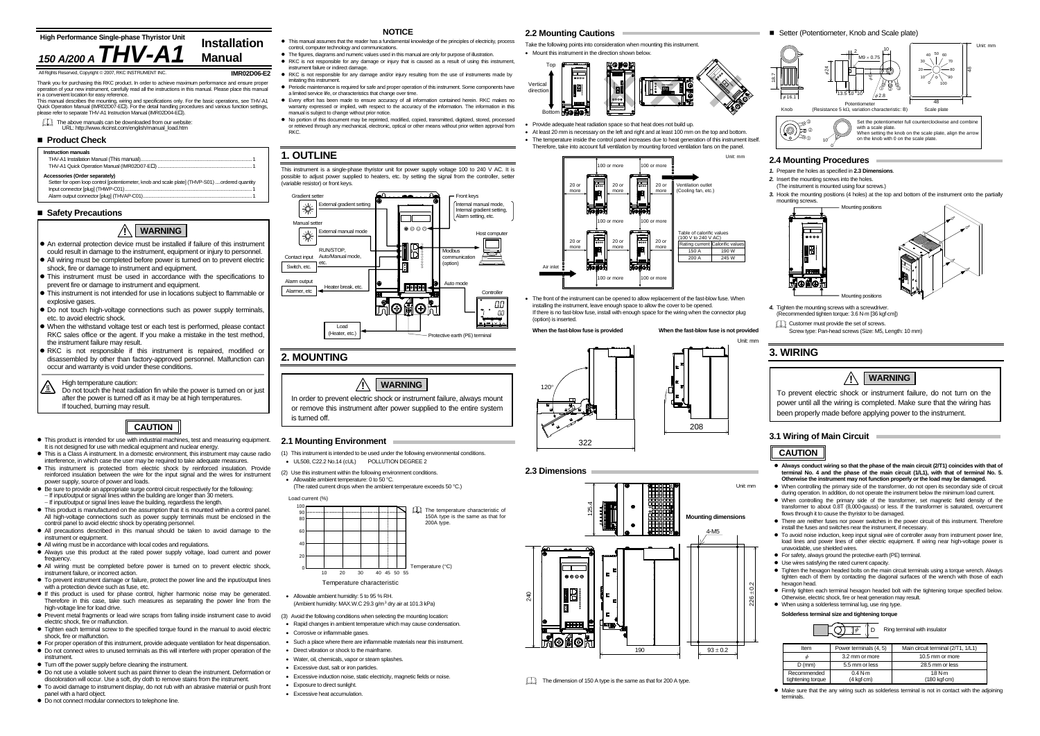in a convenient location for easy reference. This manual describes the mounting, wiring and specifications only. For the basic operations, see THV-A1 Quick Operation Manual (IMR02D07-EL). For the detail handling procedures and various function settings please refer to separate THV-A1 Instruction Manual (IMR02D04-EII).

**IMR02D06-E2**Thank you for purchasing this RKC product. In order to achieve maximum performance and ensure proper operation of your new instrument, carefully read all the instructions in this manual. Please place this manual

The above manuals can be downloaded from our website: URL: http://www.rkcinst.com/english/manual\_load.htm

### ■ Product Check

- (Ambient humidity: MAX.W.C 29.3  $q/m^3$  dry air at 101.3 kPa)
- 
- 
- 
- Such a place where there are inflammable materials near this instrument.
- Direct vibration or shock to the mainframe.
- Water, oil, chemicals, vapor or steam splashes.
- Excessive dust, salt or iron particles.
- Excessive induction noise, static electricity, magnetic fields or noise.
- Exposure to direct sunlight
- Excessive heat accumulation.

- **NOTICE**
- This manual assumes that the reader has a fundamental knowledge of the principles of electricity, process control, computer technology and communications.
- The figures, diagrams and numeric values used in this manual are only for purpose of illustration.
- RKC is not responsible for any damage or injury that is caused as a result of using this instrument, instrument failure or indirect damage.
- RKC is not responsible for any damage and/or injury resulting from the use of instruments made by imitating this instrument.
- Periodic maintenance is required for safe and proper operation of this instrument. Some components have a limited service life, or characteristics that change over time.
- Every effort has been made to ensure accuracy of all information contained herein. RKC makes no warranty expressed or implied, with respect to the accuracy of the information. The information in this manual is subject to change without prior notice.
- $\bullet$  No portion of this document may be reprinted, modified, copied, transmitted, digitized, stored, processe or retrieved through any mechanical, electronic, optical or other means without prior written approval from RKC.

● Always conduct wiring so that the phase of the main circuit (2/T1) coincides with that of **terminal No. 4 and the phase of the main circuit (1/L1), with that of terminal No. 5. Otherwise the instrument may not function properly or the load may be damaged.**

 $\bullet$  When controlling the primary side of the transformer, do not open its secondary side of circuit during operation. In addition, do not operate the instrument below the minimum load current. • When controlling the primary side of the transformer, set magnetic field density of the

# **1. OUTLINE**

• There are neither fuses nor power switches in the power circuit of this instrument. Therefore install the fuses and switches near the instrument, if necessary.

This instrument is a single-phase thyristor unit for power supply voltage 100 to 240 V AC. It is possible to adjust power supplied to heaters, etc. by setting the signal from the controller, setter (variable resistor) or front keys.

> $\bullet$  To avoid noise induction, keep input signal wire of controller away from instrument power line, load lines and power lines of other electric equipment. If wiring near high-voltage power is unavoidable, use shielded wires.

• For safety, always ground the protective earth (PE) terminal.

• Use wires satisfying the rated current capacity.

# **2. MOUNTING**

 $\bullet$  Tighten the hexagon headed bolts on the main circuit terminals using a torque wrench. Always tighten each of them by contacting the diagonal surfaces of the wrench with those of each hexagon head.

• Firmly tighten each terminal hexagon headed bolt with the tightening torque specified below. Otherwise, electric shock, fire or heat generation may result.

 $\bullet$  When using a solderless terminal lug, use ring type.

**2.1 Mounting Environment**  (1) This instrument is intended to be used under the following environmental conditions. • UL508, C22.2 No.14 (cUL) POLLUTION DEGREE 2 (2) Use this instrument within the following environment conditions. • Allowable ambient temperature: 0 to 50 °C. (The rated current drops when the ambient temperature exceeds 50 °C.)

> • Make sure that the any wiring such as solderless terminal is not in contact with the adjoining terminals.

### **Instruction manuals**  THV-A1 Installation Manual (This manual) ..................................................................................... 1 THV-A1 Quick Operation Manual (IMR02D07-EI **Accessories (Order separately)**  Setter for open loop control [potentiometer, knob and scale plate] (THVP-S01) .... ordered quantity Input connector [plug] (THWP-C01)... Alarm output connector [plug] (THVAP-C01).

## ■ Safety Precautions

Load current (%)





# aht © 2007, RKC INSTRUMENT INC.

- (3) Avoid the following conditions when selecting the mounting location:
- Rapid changes in ambient temperature which may cause condensation.
- Corrosive or inflammable gases.

### ■ Setter (Potentiometer, Knob and Scale plate)

#### Front keys Gradient sette External gradient settin Internal manual mode, ☀ Internal gradient setting, Alarm setting, etc. Manual setter  $A \otimes \otimes \otimes$ ₩ External manual mode Host computer RUN/STOP, Modbus أكتار Contact input Auto/Manual mode, communicationetc. (option) Switch, etc. Alarm output Auto mode Heater break, etc. Alarmer, etc Controlle ΩL ⊕ ™™™ Load Heater, etc.)

# **2.2 Mounting Cautions**

Take the following points into consideration when mounting this instrument. • Mount this instrument in the direction shown below.



- Provide adequate heat radiation space so that heat does not build up.
- At least 20 mm is necessary on the left and right and at least 100 mm on the top and bottom. • The temperature inside the control panel increases due to heat generation of this instrument itself. Therefore, take into account full ventilation by mounting forced ventilation fans on the panel.

- An external protection device must be installed if failure of this instrument could result in damage to the instrument, equipment or injury to personnel.
- All wiring must be completed before power is turned on to prevent electric shock, fire or damage to instrument and equipment.
- This instrument must be used in accordance with the specifications to prevent fire or damage to instrument and equipment.
- This instrument is not intended for use in locations subject to flammable or explosive gases.
- Do not touch high-voltage connections such as power supply terminals, etc. to avoid electric shock.
- When the withstand voltage test or each test is performed, please contact RKC sales office or the agent. If you make a mistake in the test method, the instrument failure may result.
- $\bullet$  RKC is not responsible if this instrument is repaired, modified or disassembled by other than factory-approved personnel. Malfunction can occur and warranty is void under these conditions.







When the fast-blow fuse is provided **When the fast-blow fuse is not provided** 

• The front of the instrument can be opened to allow replacement of the fast-blow fuse. When installing the instrument, leave enough space to allow the cover to be opened. If there is no fast-blow fuse, install with enough space for the wiring when the connector plug (option) is inserted.

## **2.3 Dimensions**

18.7







# **2.4 Mounting Procedures**

*1.* Prepare the holes as specified in **2.3 Dimensions**.

*2.* Insert the mounting screws into the holes.

(The instrument is mounted using four screws.)

*3.* Hook the mounting positions (4 holes) at the top and bottom of the instrument onto the partially mounting screws.

(Recommended tighten torque: 3.6 N⋅m [36 kgf⋅cm])

Customer must provide the set of screws.

Screw type: Pan-head screws (Size: M5, Length: 10 mm)

# **3. WIRING**

# **3.1 Wiring of Main Circuit**

transformer to about 0.8T (8,000-gauss) or less. If the transformer is saturated, overcurrent flows through it to cause the thyristor to be damaged.





**Solderless terminal size and tightening torque**

# **CAUTION**

- $\bullet$  This product is intended for use with industrial machines, test and measuring equipment. It is not designed for use with medical equipment and nuclear energy.
- This is a Class A instrument. In a domestic environment, this instrument may cause radio interference, in which case the user may be required to take adequate measures.
- $\bullet$  This instrument is protected from electric shock by reinforced insulation. Provide reinforced insulation between the wire for the input signal and the wires for instrument power supply, source of power and loads.
- $\bullet$  Be sure to provide an appropriate surge control circuit respectively for the following: <sup>−</sup> If input/output or signal lines within the building are longer than 30 meters. <sup>−</sup> If input/output or signal lines leave the building, regardless the length.
- $\bullet$  This product is manufactured on the assumption that it is mounted within a control panel. All high-voltage connections such as power supply terminals must be enclosed in the control panel to avoid electric shock by operating personnel.
- All precautions described in this manual should be taken to avoid damage to the instrument or equipment.
- All wiring must be in accordance with local codes and regulations.
- Always use this product at the rated power supply voltage, load current and power frequency.
- $\bullet$  All wiring must be completed before power is turned on to prevent electric shock, instrument failure, or incorrect action.
- $\bullet$  To prevent instrument damage or failure, protect the power line and the input/output lines with a protection device such as fuse, etc.  $\bullet$  If this product is used for phase control, higher harmonic noise may be generated.
- Therefore in this case, take such measures as separating the power line from the high-voltage line for load drive.
- Prevent metal fragments or lead wire scraps from falling inside instrument case to avoid electric shock, fire or malfunction. • Tighten each terminal screw to the specified torque found in the manual to avoid electric
- shock, fire or malfunction • For proper operation of this instrument, provide adequate ventilation for heat dispensation.
- $\bullet$  Do not connect wires to unused terminals as this will interfere with proper operation of the instrument.
- $\bullet$  Turn off the power supply before cleaning the instrument.
- Do not use a volatile solvent such as paint thinner to clean the instrument. Deformation or
- discoloration will occur. Use a soft, dry cloth to remove stains from the instrument.  $\bullet$  To avoid damage to instrument display, do not rub with an abrasive material or push front
- panel with a hard object.  $\bullet$  Do not connect modular connectors to telephone line.



# **CAUTION**

| Ring terminal with insulator<br>$\psi$ |                        |                                               |  |
|----------------------------------------|------------------------|-----------------------------------------------|--|
| Item                                   | Power terminals (4, 5) | Main circuit terminal (2/T1, 1/L1)            |  |
|                                        | 3.2 mm or more         | 10.5 mm or more                               |  |
| $D$ (mm)                               | 5.5 mm or less         | 28.5 mm or less                               |  |
| Recommended<br>tightening torque       | 0.4 N·m<br>(4 kgf·cm)  | 18 N·m<br>$(180 \text{ kgf} \cdot \text{cm})$ |  |

In order to prevent electric shock or instrument failure, always mount or remove this instrument after power supplied to the entire system

is turned off.

**WARNING !**

To prevent electric shock or instrument failure, do not turn on the power until all the wiring is completed. Make sure that the wiring has been properly made before applying power to the instrument.



High temperature caution:

Do not touch the heat radiation fin while the power is turned on or just after the power is turned off as it may be at high temperatures. If touched, burning may result.

#### **!WARNING**



**Mounting dimensions** 4-M5



 $93 + 0.2$ 



The dimension of 150 A type is the same as that for 200 A type.

240

125.4

 $0000$ 

IF

1O

⊙

190